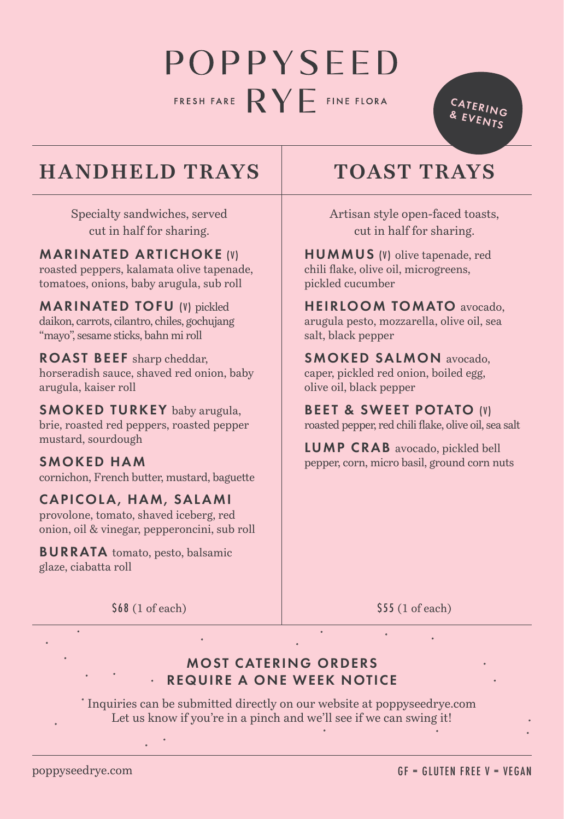# POPPYSEED FRESH FARE  $\mathsf{RY}$  FINE FLORA

CATERING & EVENTS

## **HANDHELD TRAYS** TOAST TRAYS

Specialty sandwiches, served cut in half for sharing.

MARINATED ARTICHOKE (V) roasted peppers, kalamata olive tapenade,

tomatoes, onions, baby arugula, sub roll MARINATED TOFU (V) pickled

daikon, carrots, cilantro, chiles, gochujang "mayo", sesame sticks, bahn mi roll

ROAST BEEF sharp cheddar, horseradish sauce, shaved red onion, baby arugula, kaiser roll

SMOKED TURKEY baby arugula, brie, roasted red peppers, roasted pepper mustard, sourdough

SMOKED HAM cornichon, French butter, mustard, baguette

#### CAPICOLA, HAM, SALAMI provolone, tomato, shaved iceberg, red

onion, oil & vinegar, pepperoncini, sub roll

BURRATA tomato, pesto, balsamic glaze, ciabatta roll

Artisan style open-faced toasts, cut in half for sharing.

HUMMUS (V) olive tapenade, red chili flake, olive oil, microgreens, pickled cucumber

HEIRLOOM TOMATO avocado, arugula pesto, mozzarella, olive oil, sea salt, black pepper

SMOKED SALMON avocado, caper, pickled red onion, boiled egg, olive oil, black pepper

BEET & SWEET POTATO (V) roasted pepper, red chili flake, olive oil, sea salt

LUMP CRAB avocado, pickled bell pepper, corn, micro basil, ground corn nuts

\$68 (1 of each)

\$55 (1 of each)

#### MOST CATERING ORDERS REQUIRE A ONE WEEK NOTICE

Inquiries can be submitted directly on our website at poppyseedrye.com Let us know if you're in a pinch and we'll see if we can swing it!